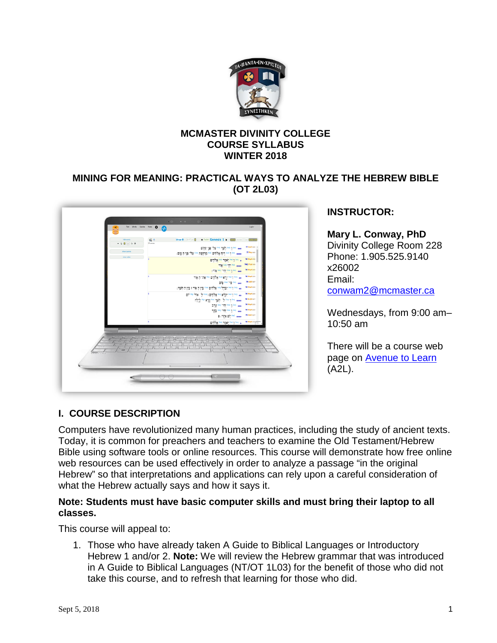

## **MCMASTER DIVINITY COLLEGE COURSE SYLLABUS WINTER 2018**

## **MINING FOR MEANING: PRACTICAL WAYS TO ANALYZE THE HEBREW BIBLE (OT 2L03)**



# **INSTRUCTOR:**

**Mary L. Conway, PhD** Divinity College Room 228 Phone: 1.905.525.9140 x26002 Email: [conwam2@mcmaster.ca](mailto:conwam2@mcmaster.ca)

Wednesdays, from 9:00 am– 10:50 am

There will be a course web page on [Avenue to Learn](http://avenue.mcmaster.ca/) (A2L).

# **I. COURSE DESCRIPTION**

Computers have revolutionized many human practices, including the study of ancient texts. Today, it is common for preachers and teachers to examine the Old Testament/Hebrew Bible using software tools or online resources. This course will demonstrate how free online web resources can be used effectively in order to analyze a passage "in the original Hebrew" so that interpretations and applications can rely upon a careful consideration of what the Hebrew actually says and how it says it.

#### **Note: Students must have basic computer skills and must bring their laptop to all classes.**

This course will appeal to:

1. Those who have already taken A Guide to Biblical Languages or Introductory Hebrew 1 and/or 2. **Note:** We will review the Hebrew grammar that was introduced in A Guide to Biblical Languages (NT/OT 1L03) for the benefit of those who did not take this course, and to refresh that learning for those who did.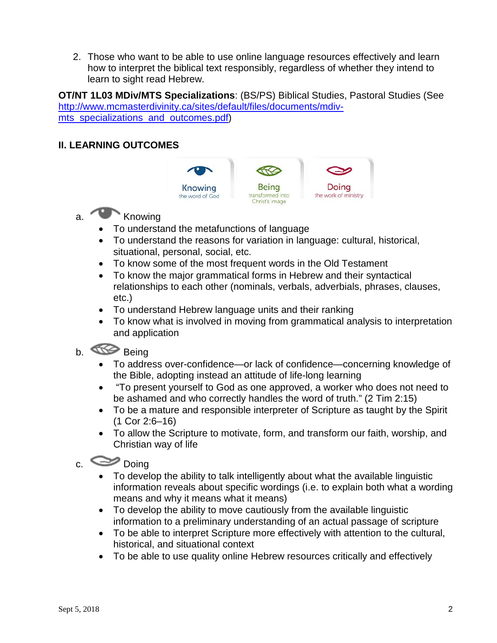2. Those who want to be able to use online language resources effectively and learn how to interpret the biblical text responsibly, regardless of whether they intend to learn to sight read Hebrew.

**OT/NT 1L03 MDiv/MTS Specializations**: (BS/PS) Biblical Studies, Pastoral Studies (See [http://www.mcmasterdivinity.ca/sites/default/files/documents/mdiv](http://www.mcmasterdivinity.ca/sites/default/files/documents/mdiv-mts_specializations_and_outcomes.pdf)mts specializations and outcomes.pdf)

# **II. LEARNING OUTCOMES**



# a. Knowing

- To understand the metafunctions of language
- To understand the reasons for variation in language: cultural, historical, situational, personal, social, etc.
- To know some of the most frequent words in the Old Testament
- To know the major grammatical forms in Hebrew and their syntactical relationships to each other (nominals, verbals, adverbials, phrases, clauses, etc.)
- To understand Hebrew language units and their ranking
- To know what is involved in moving from grammatical analysis to interpretation and application

# b. Being

- To address over-confidence—or lack of confidence—concerning knowledge of the Bible, adopting instead an attitude of life-long learning
- "To present yourself to God as one approved, a worker who does not need to be ashamed and who correctly handles the word of truth." (2 Tim 2:15)
- To be a mature and responsible interpreter of Scripture as taught by the Spirit (1 Cor 2:6–16)
- To allow the Scripture to motivate, form, and transform our faith, worship, and Christian way of life

# $c.$   $\bullet$  Doing

- To develop the ability to talk intelligently about what the available linguistic information reveals about specific wordings (i.e. to explain both what a wording means and why it means what it means)
- To develop the ability to move cautiously from the available linguistic information to a preliminary understanding of an actual passage of scripture
- To be able to interpret Scripture more effectively with attention to the cultural, historical, and situational context
- To be able to use quality online Hebrew resources critically and effectively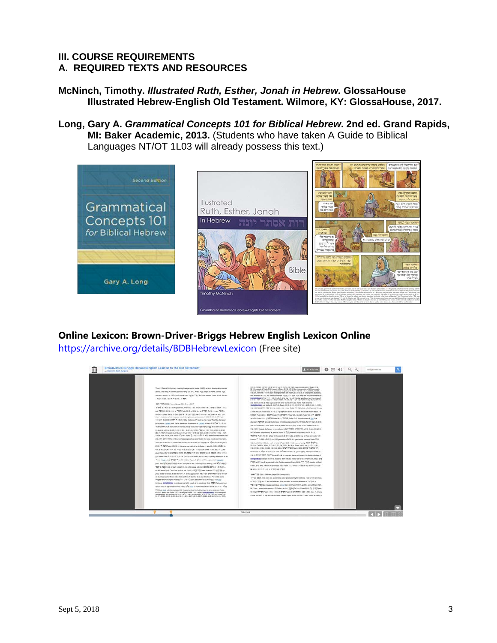#### **III. COURSE REQUIREMENTS A. REQUIRED TEXTS AND RESOURCES**

- **McNinch, Timothy.** *Illustrated Ruth, Esther, Jonah in Hebrew.* **GlossaHouse Illustrated Hebrew-English Old Testament. Wilmore, KY: GlossaHouse, 2017.**
- **Long, Gary A.** *Grammatical Concepts 101 for Biblical Hebrew***. 2nd ed. Grand Rapids, MI: Baker Academic, 2013.** (Students who have taken A Guide to Biblical Languages NT/OT 1L03 will already possess this text.)



# **Online Lexicon: Brown-Driver-Briggs Hebrew English Lexicon Online**

<https://archive.org/details/BDBHebrewLexicon> (Free site)

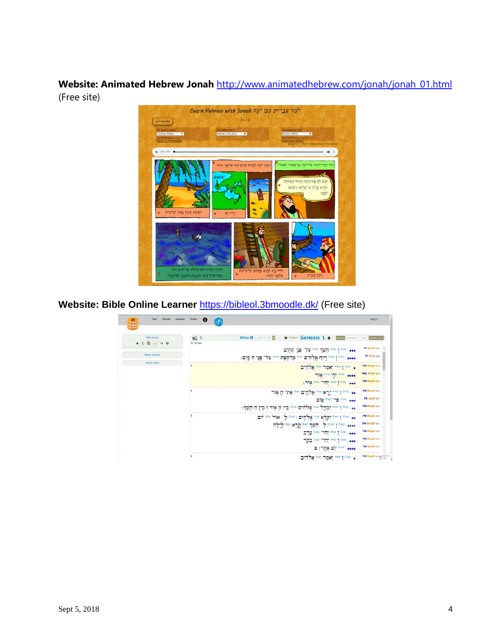**Website: Animated Hebrew Jonah** [http://www.animatedhebrew.com/jonah/jonah\\_01.html](http://www.animatedhebrew.com/jonah/jonah_01.html) (Free site)

> למד עברית עם יונה fearn Hebrew with Jonah  $1$  = 12 ÷ יונה בראסתי לאמר יֵתָם יוּנְה לְבָרֹחָ תַּרְשִׁישָׁה מְלַפְּנִ קום לף אליניגוה העיר הגדולה<br>וקרא עליה כי־עלתה רעתם לְפִנְי: יַמְצָא אֶנְיָה בְּאֶה תַּרְשִׁיש  $\sim$

Website: Bible Online Learner <https://bibleol.3bmoodle.dk/> (Free site)

| Text<br>Words<br>Queries | $\mathbf{\Theta}$<br>Noten<br>$\left\langle f\right\rangle$ |                                                                                                                                                                                                                                | Log In-                    |
|--------------------------|-------------------------------------------------------------|--------------------------------------------------------------------------------------------------------------------------------------------------------------------------------------------------------------------------------|----------------------------|
| hide words               | - 2                                                         | bhsa 0 6 2017 4b 0<br>$o$ English Genesis 1 $\rightarrow$<br><b>celere</b> phonetic                                                                                                                                            | <b>Strill Byntax (2/3)</b> |
| x 0 0 0 0 0              | 31 verses                                                   | eee ו <sup>נסום</sup> השך <sup>PreC</sup> על־פּנֵי תְהָוֹם                                                                                                                                                                     | 77 NmCl 402 A              |
| show queries             |                                                             | ++++ non [ יווים קלולוים FreC קורחקות ואחם על העירה מום:                                                                                                                                                                       | 77 Ptcp 460                |
| show notes               | ā                                                           | + Cont "אמר <sup>השפ</sup> אלהים"                                                                                                                                                                                              | <b>7N WayX 472</b>         |
|                          |                                                             | TIN SLOU TT Pred ecce                                                                                                                                                                                                          | <b>7NQ ZYGX 999</b>        |
|                          |                                                             | : TIX Subj Think Pred   Conj eee                                                                                                                                                                                               | 7N WayX 200                |
|                          |                                                             | ++ con יום אלהים את האור                                                                                                                                                                                                       | 7N WayX 200                |
|                          |                                                             | alip Pred map Conj eee                                                                                                                                                                                                         | 7N xQt0 527                |
|                          |                                                             | ++ con ו "בְּדֵל וֹמִי אֲלֹהִים יִשְׁים בְּין הָ אֲוֹר וּ בְין הַ חָשֶׁךְ:                                                                                                                                                     | <b>7N WayX 200</b>         |
|                          |                                                             | ++ Fred 1 Cong "קרא ו <sup>פעם</sup> אלהים ו ישרי ל אור <sup>סוס א</sup> ום                                                                                                                                                    | <b>7N WayX 200</b>         |
|                          |                                                             | ass I cont from the Second Scott and Control of Second Second Second Second Second Second Second Second Second Second Second Second Second Second Second Second Second Second Second Second Second Second Second Second Second | <b>7N WkQO 427</b>         |
|                          |                                                             | Subject Pred 1 Conj +++                                                                                                                                                                                                        | 7N WayX 200                |
|                          |                                                             | Subj Times Pred 1 Cons ess                                                                                                                                                                                                     | 7N WayX 200                |
|                          |                                                             | יום אֶחֱד: פּ $\frac{1000}{2}$                                                                                                                                                                                                 | <b>?N NmCl 107</b>         |
|                          |                                                             | + <sup>Fred</sup> ו <sup>Cong</sup> יאמר <sup>ומופ</sup> אלהים                                                                                                                                                                 | 7N WayX 200 City           |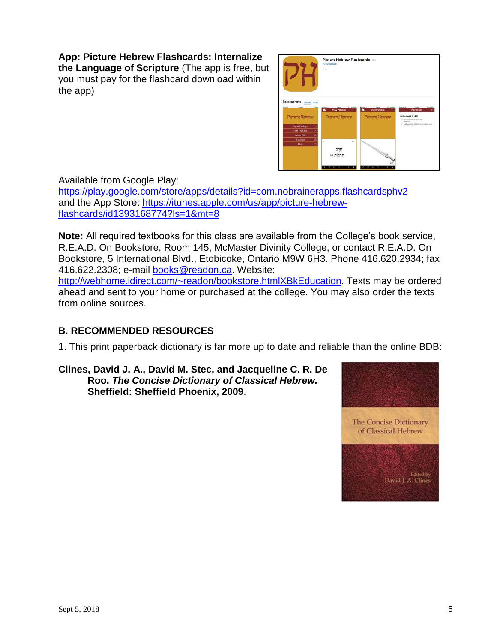# **App: Picture Hebrew Flashcards: Internalize**

**the Language of Scripture** (The app is free, but you must pay for the flashcard download within the app)



Available from Google Play:

<https://play.google.com/store/apps/details?id=com.nobrainerapps.flashcardsphv2> and the App Store: [https://itunes.apple.com/us/app/picture-hebrew](https://itunes.apple.com/us/app/picture-hebrew-flashcards/id1393168774?ls=1&mt=8)[flashcards/id1393168774?ls=1&mt=8](https://itunes.apple.com/us/app/picture-hebrew-flashcards/id1393168774?ls=1&mt=8)

**Note:** All required textbooks for this class are available from the College's book service, R.E.A.D. On Bookstore, Room 145, McMaster Divinity College, or contact R.E.A.D. On Bookstore, 5 International Blvd., Etobicoke, Ontario M9W 6H3. Phone 416.620.2934; fax 416.622.2308; e-mail [books@readon.ca.](mailto:books@readon.ca) Website:

[http://webhome.idirect.com/~readon/bookstore.htmlXBkEducation.](http://webhome.idirect.com/%7Ereadon/bookstore.html#BkEducation) Texts may be ordered ahead and sent to your home or purchased at the college. You may also order the texts from online sources.

# **B. RECOMMENDED RESOURCES**

1. This print paperback dictionary is far more up to date and reliable than the online BDB:

**Clines, David J. A., David M. Stec, and Jacqueline C. R. De Roo.** *The Concise Dictionary of Classical Hebrew.* **Sheffield: Sheffield Phoenix, 2009**.

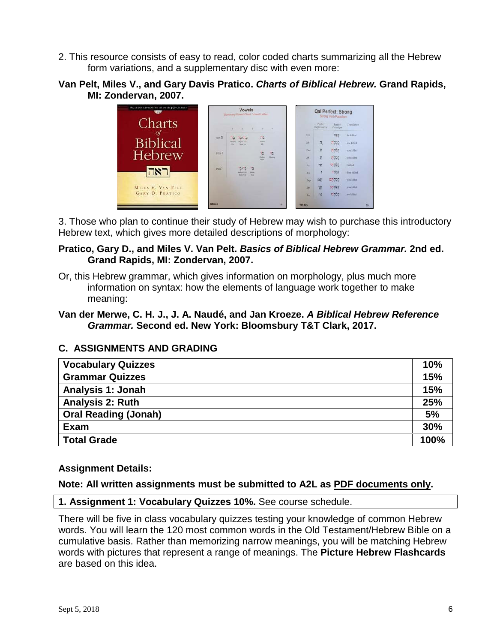- 2. This resource consists of easy to read, color coded charts summarizing all the Hebrew form variations, and a supplementary disc with even more:
- **Van Pelt, Miles V., and Gary Davis Pratico.** *Charts of Biblical Hebrew.* **Grand Rapids, MI: Zondervan, 2007.**



3. Those who plan to continue their study of Hebrew may wish to purchase this introductory Hebrew text, which gives more detailed descriptions of morphology:

## **Pratico, Gary D., and Miles V. Van Pelt.** *Basics of Biblical Hebrew Grammar.* **2nd ed. Grand Rapids, MI: Zondervan, 2007.**

- Or, this Hebrew grammar, which gives information on morphology, plus much more information on syntax: how the elements of language work together to make meaning:
- **Van der Merwe, C. H. J., J. A. Naudé, and Jan Kroeze.** *A Biblical Hebrew Reference Grammar.* **Second ed. New York: Bloomsbury T&T Clark, 2017.**

# **C. ASSIGNMENTS AND GRADING**

| <b>Vocabulary Quizzes</b>   |      |  |
|-----------------------------|------|--|
| <b>Grammar Quizzes</b>      | 15%  |  |
| Analysis 1: Jonah           | 15%  |  |
| <b>Analysis 2: Ruth</b>     | 25%  |  |
| <b>Oral Reading (Jonah)</b> | 5%   |  |
| Exam                        | 30%  |  |
| <b>Total Grade</b>          | 100% |  |

# **Assignment Details:**

#### **Note: All written assignments must be submitted to A2L as PDF documents only.**

#### **1. Assignment 1: Vocabulary Quizzes 10%.** See course schedule.

There will be five in class vocabulary quizzes testing your knowledge of common Hebrew words. You will learn the 120 most common words in the Old Testament/Hebrew Bible on a cumulative basis. Rather than memorizing narrow meanings, you will be matching Hebrew words with pictures that represent a range of meanings. The **Picture Hebrew Flashcards**  are based on this idea.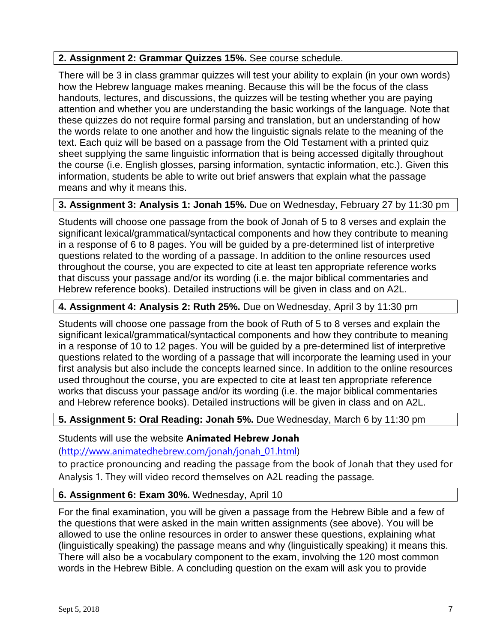#### **2. Assignment 2: Grammar Quizzes 15%.** See course schedule.

There will be 3 in class grammar quizzes will test your ability to explain (in your own words) how the Hebrew language makes meaning. Because this will be the focus of the class handouts, lectures, and discussions, the quizzes will be testing whether you are paying attention and whether you are understanding the basic workings of the language. Note that these quizzes do not require formal parsing and translation, but an understanding of how the words relate to one another and how the linguistic signals relate to the meaning of the text. Each quiz will be based on a passage from the Old Testament with a printed quiz sheet supplying the same linguistic information that is being accessed digitally throughout the course (i.e. English glosses, parsing information, syntactic information, etc.). Given this information, students be able to write out brief answers that explain what the passage means and why it means this.

#### **3. Assignment 3: Analysis 1: Jonah 15%.** Due on Wednesday, February 27 by 11:30 pm

Students will choose one passage from the book of Jonah of 5 to 8 verses and explain the significant lexical/grammatical/syntactical components and how they contribute to meaning in a response of 6 to 8 pages. You will be guided by a pre-determined list of interpretive questions related to the wording of a passage. In addition to the online resources used throughout the course, you are expected to cite at least ten appropriate reference works that discuss your passage and/or its wording (i.e. the major biblical commentaries and Hebrew reference books). Detailed instructions will be given in class and on A2L.

#### **4. Assignment 4: Analysis 2: Ruth 25%.** Due on Wednesday, April 3 by 11:30 pm

Students will choose one passage from the book of Ruth of 5 to 8 verses and explain the significant lexical/grammatical/syntactical components and how they contribute to meaning in a response of 10 to 12 pages. You will be guided by a pre-determined list of interpretive questions related to the wording of a passage that will incorporate the learning used in your first analysis but also include the concepts learned since. In addition to the online resources used throughout the course, you are expected to cite at least ten appropriate reference works that discuss your passage and/or its wording (i.e. the major biblical commentaries and Hebrew reference books). Detailed instructions will be given in class and on A2L.

#### **5. Assignment 5: Oral Reading: Jonah 5%.** Due Wednesday, March 6 by 11:30 pm

#### Students will use the website **Animated Hebrew Jonah**

[\(http://www.animatedhebrew.com/jonah/jonah\\_01.html\)](http://www.animatedhebrew.com/jonah/jonah_01.html)

to practice pronouncing and reading the passage from the book of Jonah that they used for Analysis 1. They will video record themselves on A2L reading the passage.

#### **6. Assignment 6: Exam 30%.** Wednesday, April 10

For the final examination, you will be given a passage from the Hebrew Bible and a few of the questions that were asked in the main written assignments (see above). You will be allowed to use the online resources in order to answer these questions, explaining what (linguistically speaking) the passage means and why (linguistically speaking) it means this. There will also be a vocabulary component to the exam, involving the 120 most common words in the Hebrew Bible. A concluding question on the exam will ask you to provide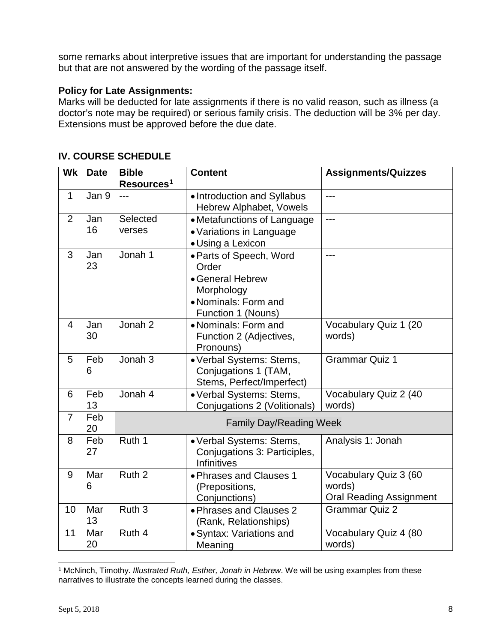some remarks about interpretive issues that are important for understanding the passage but that are not answered by the wording of the passage itself.

#### **Policy for Late Assignments:**

Marks will be deducted for late assignments if there is no valid reason, such as illness (a doctor's note may be required) or serious family crisis. The deduction will be 3% per day. Extensions must be approved before the due date.

| Wk             | <b>Date</b> | <b>Bible</b><br>Resources <sup>1</sup> | <b>Content</b>                                                                                                   | <b>Assignments/Quizzes</b>                                        |
|----------------|-------------|----------------------------------------|------------------------------------------------------------------------------------------------------------------|-------------------------------------------------------------------|
| $\mathbf{1}$   | Jan 9       | $---$                                  | • Introduction and Syllabus<br><b>Hebrew Alphabet, Vowels</b>                                                    | $---$                                                             |
| $\overline{2}$ | Jan<br>16   | Selected<br>verses                     | • Metafunctions of Language<br>• Variations in Language<br>• Using a Lexicon                                     | $---$                                                             |
| 3              | Jan<br>23   | Jonah 1                                | · Parts of Speech, Word<br>Order<br>• General Hebrew<br>Morphology<br>• Nominals: Form and<br>Function 1 (Nouns) | ---                                                               |
| $\overline{4}$ | Jan<br>30   | Jonah 2                                | • Nominals: Form and<br>Function 2 (Adjectives,<br>Pronouns)                                                     | Vocabulary Quiz 1 (20<br>words)                                   |
| 5              | Feb<br>6    | Jonah 3                                | • Verbal Systems: Stems,<br>Conjugations 1 (TAM,<br>Stems, Perfect/Imperfect)                                    | <b>Grammar Quiz 1</b>                                             |
| 6              | Feb<br>13   | Jonah 4                                | • Verbal Systems: Stems,<br>Conjugations 2 (Volitionals)                                                         | Vocabulary Quiz 2 (40<br>words)                                   |
| $\overline{7}$ | Feb<br>20   | <b>Family Day/Reading Week</b>         |                                                                                                                  |                                                                   |
| 8              | Feb<br>27   | Ruth 1                                 | • Verbal Systems: Stems,<br>Conjugations 3: Participles,<br><b>Infinitives</b>                                   | Analysis 1: Jonah                                                 |
| 9              | Mar<br>6    | Ruth <sub>2</sub>                      | • Phrases and Clauses 1<br>(Prepositions,<br>Conjunctions)                                                       | Vocabulary Quiz 3 (60<br>words)<br><b>Oral Reading Assignment</b> |
| 10             | Mar<br>13   | Ruth <sub>3</sub>                      | • Phrases and Clauses 2<br>(Rank, Relationships)                                                                 | <b>Grammar Quiz 2</b>                                             |
| 11             | Mar<br>20   | Ruth 4                                 | · Syntax: Variations and<br>Meaning                                                                              | Vocabulary Quiz 4 (80<br>words)                                   |

## **IV. COURSE SCHEDULE**

<span id="page-7-0"></span> $\overline{a}$ <sup>1</sup> McNinch, Timothy. *Illustrated Ruth, Esther, Jonah in Hebrew*. We will be using examples from these narratives to illustrate the concepts learned during the classes.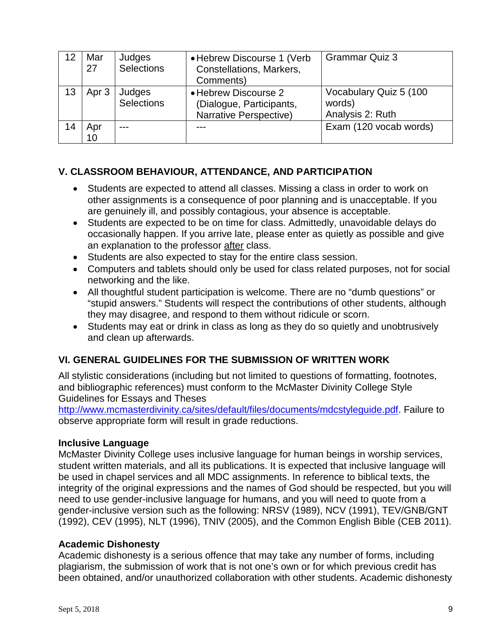|    | Mar<br>27 | Judges<br><b>Selections</b> | • Hebrew Discourse 1 (Verb)<br>Constellations, Markers,<br>Comments)       | <b>Grammar Quiz 3</b>                                |
|----|-----------|-----------------------------|----------------------------------------------------------------------------|------------------------------------------------------|
| 13 | Apr 3     | Judges<br>Selections        | • Hebrew Discourse 2<br>(Dialogue, Participants,<br>Narrative Perspective) | Vocabulary Quiz 5 (100<br>words)<br>Analysis 2: Ruth |
| 14 | Apr<br>10 |                             |                                                                            | Exam (120 vocab words)                               |

# **V. CLASSROOM BEHAVIOUR, ATTENDANCE, AND PARTICIPATION**

- Students are expected to attend all classes. Missing a class in order to work on other assignments is a consequence of poor planning and is unacceptable. If you are genuinely ill, and possibly contagious, your absence is acceptable.
- Students are expected to be on time for class. Admittedly, unavoidable delays do occasionally happen. If you arrive late, please enter as quietly as possible and give an explanation to the professor after class.
- Students are also expected to stay for the entire class session.
- Computers and tablets should only be used for class related purposes, not for social networking and the like.
- All thoughtful student participation is welcome. There are no "dumb questions" or "stupid answers." Students will respect the contributions of other students, although they may disagree, and respond to them without ridicule or scorn.
- Students may eat or drink in class as long as they do so quietly and unobtrusively and clean up afterwards.

# **VI. GENERAL GUIDELINES FOR THE SUBMISSION OF WRITTEN WORK**

All stylistic considerations (including but not limited to questions of formatting, footnotes, and bibliographic references) must conform to the McMaster Divinity College Style Guidelines for Essays and Theses

[http://www.mcmasterdivinity.ca/sites/default/files/documents/mdcstyleguide.pdf.](http://www.mcmasterdivinity.ca/sites/default/files/documents/MDCStyleGuide.pdf) Failure to observe appropriate form will result in grade reductions.

#### **Inclusive Language**

McMaster Divinity College uses inclusive language for human beings in worship services, student written materials, and all its publications. It is expected that inclusive language will be used in chapel services and all MDC assignments. In reference to biblical texts, the integrity of the original expressions and the names of God should be respected, but you will need to use gender-inclusive language for humans, and you will need to quote from a gender-inclusive version such as the following: NRSV (1989), NCV (1991), TEV/GNB/GNT (1992), CEV (1995), NLT (1996), TNIV (2005), and the Common English Bible (CEB 2011).

#### **Academic Dishonesty**

Academic dishonesty is a serious offence that may take any number of forms, including plagiarism, the submission of work that is not one's own or for which previous credit has been obtained, and/or unauthorized collaboration with other students. Academic dishonesty